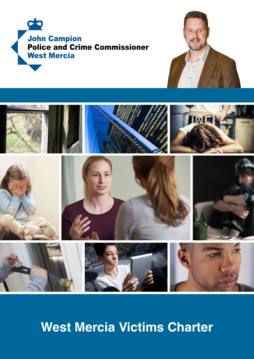





**West Mercia Victims Charter**